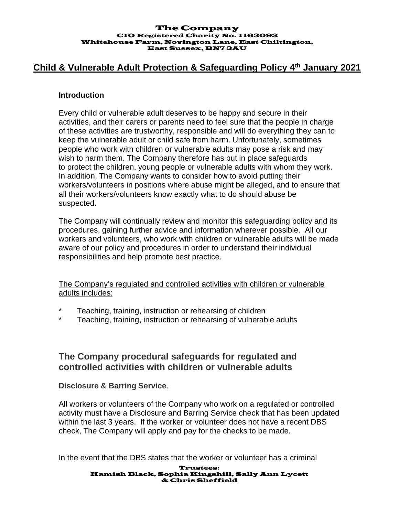#### The Company CIO Registered Charity No. 1163093 Whitehouse Farm, Novington Lane, East Chiltington, East Sussex, BN7 3AU

## **Child & Vulnerable Adult Protection & Safeguarding Policy 4 th January 2021**

#### **Introduction**

Every child or vulnerable adult deserves to be happy and secure in their activities, and their carers or parents need to feel sure that the people in charge of these activities are trustworthy, responsible and will do everything they can to keep the vulnerable adult or child safe from harm. Unfortunately, sometimes people who work with children or vulnerable adults may pose a risk and may wish to harm them. The Company therefore has put in place safeguards to protect the children, young people or vulnerable adults with whom they work. In addition, The Company wants to consider how to avoid putting their workers/volunteers in positions where abuse might be alleged, and to ensure that all their workers/volunteers know exactly what to do should abuse be suspected.

The Company will continually review and monitor this safeguarding policy and its procedures, gaining further advice and information wherever possible. All our workers and volunteers, who work with children or vulnerable adults will be made aware of our policy and procedures in order to understand their individual responsibilities and help promote best practice.

The Company's regulated and controlled activities with children or vulnerable adults includes:

- Teaching, training, instruction or rehearsing of children
- Teaching, training, instruction or rehearsing of vulnerable adults

## **The Company procedural safeguards for regulated and controlled activities with children or vulnerable adults**

### **Disclosure & Barring Service**.

All workers or volunteers of the Company who work on a regulated or controlled activity must have a Disclosure and Barring Service check that has been updated within the last 3 years. If the worker or volunteer does not have a recent DBS check, The Company will apply and pay for the checks to be made.

In the event that the DBS states that the worker or volunteer has a criminal

#### Trustees: Hamish Black, Sophia Kingshill, Sally Ann Lycett & Chris Sheffield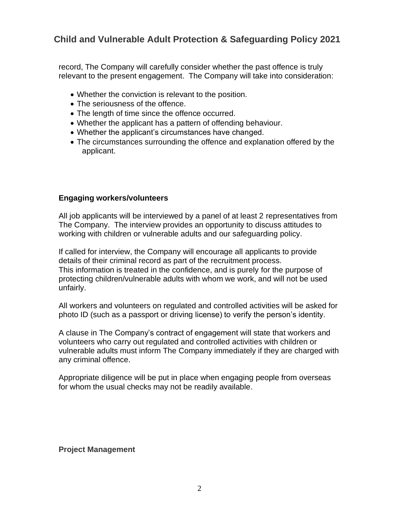record, The Company will carefully consider whether the past offence is truly relevant to the present engagement. The Company will take into consideration:

- Whether the conviction is relevant to the position.
- The seriousness of the offence.
- The length of time since the offence occurred.
- Whether the applicant has a pattern of offending behaviour.
- Whether the applicant's circumstances have changed.
- The circumstances surrounding the offence and explanation offered by the applicant.

### **Engaging workers/volunteers**

All job applicants will be interviewed by a panel of at least 2 representatives from The Company. The interview provides an opportunity to discuss attitudes to working with children or vulnerable adults and our safeguarding policy.

If called for interview, the Company will encourage all applicants to provide details of their criminal record as part of the recruitment process. This information is treated in the confidence, and is purely for the purpose of protecting children/vulnerable adults with whom we work, and will not be used unfairly.

All workers and volunteers on regulated and controlled activities will be asked for photo ID (such as a passport or driving license) to verify the person's identity.

A clause in The Company's contract of engagement will state that workers and volunteers who carry out regulated and controlled activities with children or vulnerable adults must inform The Company immediately if they are charged with any criminal offence.

Appropriate diligence will be put in place when engaging people from overseas for whom the usual checks may not be readily available.

#### **Project Management**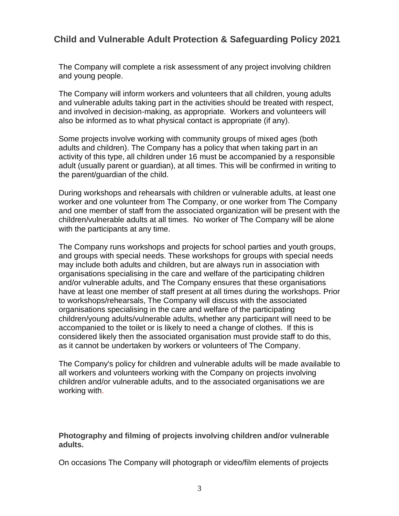The Company will complete a risk assessment of any project involving children and young people.

The Company will inform workers and volunteers that all children, young adults and vulnerable adults taking part in the activities should be treated with respect, and involved in decision-making, as appropriate. Workers and volunteers will also be informed as to what physical contact is appropriate (if any).

Some projects involve working with community groups of mixed ages (both adults and children). The Company has a policy that when taking part in an activity of this type, all children under 16 must be accompanied by a responsible adult (usually parent or guardian), at all times. This will be confirmed in writing to the parent/guardian of the child.

During workshops and rehearsals with children or vulnerable adults, at least one worker and one volunteer from The Company, or one worker from The Company and one member of staff from the associated organization will be present with the children/vulnerable adults at all times. No worker of The Company will be alone with the participants at any time.

The Company runs workshops and projects for school parties and youth groups, and groups with special needs. These workshops for groups with special needs may include both adults and children, but are always run in association with organisations specialising in the care and welfare of the participating children and/or vulnerable adults, and The Company ensures that these organisations have at least one member of staff present at all times during the workshops. Prior to workshops/rehearsals, The Company will discuss with the associated organisations specialising in the care and welfare of the participating children/young adults/vulnerable adults, whether any participant will need to be accompanied to the toilet or is likely to need a change of clothes. If this is considered likely then the associated organisation must provide staff to do this, as it cannot be undertaken by workers or volunteers of The Company.

The Company's policy for children and vulnerable adults will be made available to all workers and volunteers working with the Company on projects involving children and/or vulnerable adults, and to the associated organisations we are working with.

**Photography and filming of projects involving children and/or vulnerable adults.**

On occasions The Company will photograph or video/film elements of projects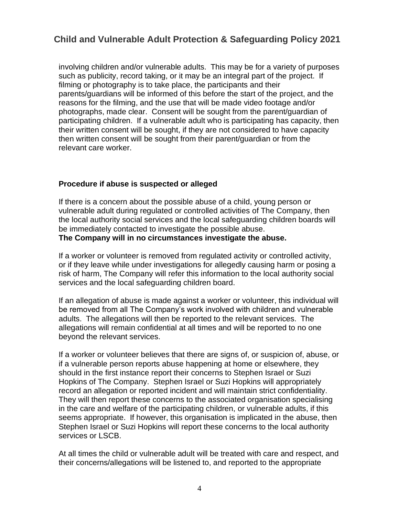involving children and/or vulnerable adults. This may be for a variety of purposes such as publicity, record taking, or it may be an integral part of the project. If filming or photography is to take place, the participants and their parents/guardians will be informed of this before the start of the project, and the reasons for the filming, and the use that will be made video footage and/or photographs, made clear. Consent will be sought from the parent/guardian of participating children. If a vulnerable adult who is participating has capacity, then their written consent will be sought, if they are not considered to have capacity then written consent will be sought from their parent/guardian or from the relevant care worker.

### **Procedure if abuse is suspected or alleged**

If there is a concern about the possible abuse of a child, young person or vulnerable adult during regulated or controlled activities of The Company, then the local authority social services and the local safeguarding children boards will be immediately contacted to investigate the possible abuse. **The Company will in no circumstances investigate the abuse.**

If a worker or volunteer is removed from regulated activity or controlled activity, or if they leave while under investigations for allegedly causing harm or posing a risk of harm, The Company will refer this information to the local authority social services and the local safeguarding children board.

If an allegation of abuse is made against a worker or volunteer, this individual will be removed from all The Company's work involved with children and vulnerable adults. The allegations will then be reported to the relevant services. The allegations will remain confidential at all times and will be reported to no one beyond the relevant services.

If a worker or volunteer believes that there are signs of, or suspicion of, abuse, or if a vulnerable person reports abuse happening at home or elsewhere, they should in the first instance report their concerns to Stephen Israel or Suzi Hopkins of The Company. Stephen Israel or Suzi Hopkins will appropriately record an allegation or reported incident and will maintain strict confidentiality. They will then report these concerns to the associated organisation specialising in the care and welfare of the participating children, or vulnerable adults, if this seems appropriate. If however, this organisation is implicated in the abuse, then Stephen Israel or Suzi Hopkins will report these concerns to the local authority services or LSCB.

At all times the child or vulnerable adult will be treated with care and respect, and their concerns/allegations will be listened to, and reported to the appropriate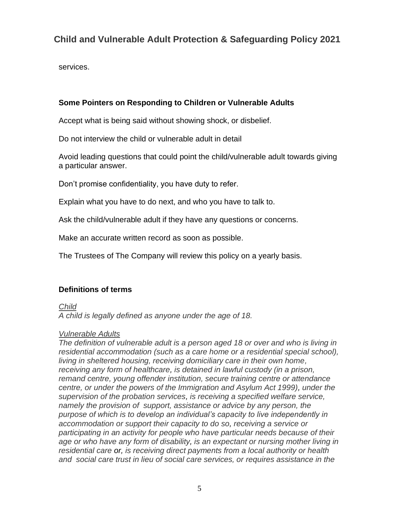services.

### **Some Pointers on Responding to Children or Vulnerable Adults**

Accept what is being said without showing shock, or disbelief.

Do not interview the child or vulnerable adult in detail

Avoid leading questions that could point the child/vulnerable adult towards giving a particular answer.

Don't promise confidentiality, you have duty to refer.

Explain what you have to do next, and who you have to talk to.

Ask the child/vulnerable adult if they have any questions or concerns.

Make an accurate written record as soon as possible.

The Trustees of The Company will review this policy on a yearly basis.

## **Definitions of terms**

*Child*

*A child is legally defined as anyone under the age of 18.*

### *Vulnerable Adults*

*The definition of vulnerable adult is a person aged 18 or over and who is living in residential accommodation (such as a care home or a residential special school), living in sheltered housing, receiving domiciliary care in their own home, receiving any form of healthcare, is detained in lawful custody (in a prison, remand centre, young offender institution, secure training centre or attendance centre, or under the powers of the Immigration and Asylum Act 1999), under the supervision of the probation services, is receiving a specified welfare service, namely the provision of support, assistance or advice by any person, the purpose of which is to develop an individual's capacity to live independently in accommodation or support their capacity to do so, receiving a service or participating in an activity for people who have particular needs because of their age or who have any form of disability, is an expectant or nursing mother living in residential care or, is receiving direct payments from a local authority or health and social care trust in lieu of social care services, or requires assistance in the*